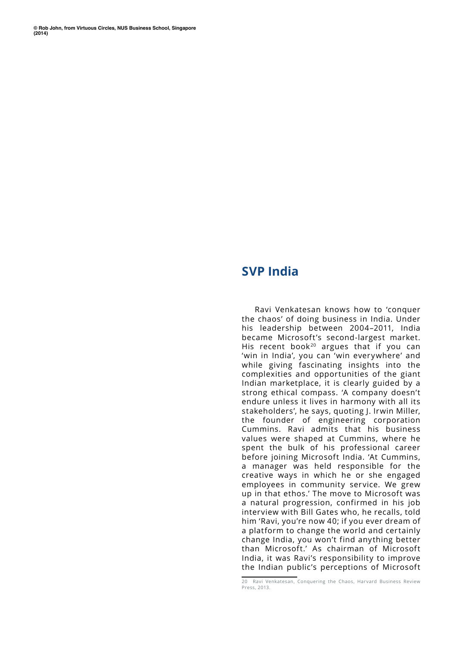## **SVP India**

Ravi Venkatesan knows how to 'conquer the chaos' of doing business in India. Under his leadership between 2004–2011, India became Microsoft's second-largest market. His recent book<sup>20</sup> argues that if you can 'win in India', you can 'win everywhere' and while giving fascinating insights into the complexities and opportunities of the giant Indian marketplace, it is clearly guided by a strong ethical compass. 'A company doesn't endure unless it lives in harmony with all its stakeholders', he says, quoting J. Irwin Miller, the founder of engineering corporation Cummins. Ravi admits that his business values were shaped at Cummins, where he spent the bulk of his professional career before joining Microsoft India. 'At Cummins, a manager was held responsible for the creative ways in which he or she engaged employees in community service. We grew up in that ethos.' The move to Microsoft was a natural progression, confirmed in his job interview with Bill Gates who, he recalls, told him 'Ravi, you're now 40; if you ever dream of a platform to change the world and certainly change India, you won't find anything better than Microsoft.' As chairman of Microsoft India, it was Ravi's responsibility to improve the Indian public's perceptions of Microsoft

<sup>20</sup> Ravi Venkatesan, Conquering the Chaos, Harvard Business Review Press, 2013.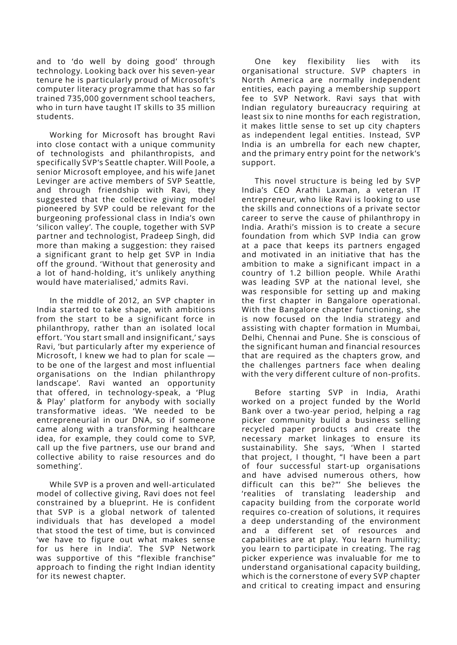and to 'do well by doing good' through technology. Looking back over his seven-year tenure he is particularly proud of Microsoft's computer literacy programme that has so far trained 735,000 government school teachers, who in turn have taught IT skills to 35 million students.

Working for Microsoft has brought Ravi into close contact with a unique community of technologists and philanthropists, and specifically SVP's Seattle chapter. Will Poole, a senior Microsoft employee, and his wife Janet Levinger are active members of SVP Seattle, and through friendship with Ravi, they suggested that the collective giving model pioneered by SVP could be relevant for the burgeoning professional class in India's own 'silicon valley'. The couple, together with SVP partner and technologist, Pradeep Singh, did more than making a suggestion: they raised a significant grant to help get SVP in India off the ground. 'Without that generosity and a lot of hand-holding, it's unlikely anything would have materialised,' admits Ravi.

In the middle of 2012, an SVP chapter in India started to take shape, with ambitions from the start to be a significant force in philanthropy, rather than an isolated local effort. 'You start small and insignificant,' says Ravi, 'but particularly after my experience of Microsoft, I knew we had to plan for scale to be one of the largest and most influential organisations on the Indian philanthropy landscape'. Ravi wanted an opportunity that offered, in technology-speak, a 'Plug & Play' platform for anybody with socially transformative ideas. 'We needed to be entrepreneurial in our DNA, so if someone came along with a transforming healthcare idea, for example, they could come to SVP, call up the five partners, use our brand and collective ability to raise resources and do something'.

While SVP is a proven and well-articulated model of collective giving, Ravi does not feel constrained by a blueprint. He is confident that SVP is a global network of talented individuals that has developed a model that stood the test of time, but is convinced 'we have to figure out what makes sense for us here in India'. The SVP Network was supportive of this "flexible franchise" approach to finding the right Indian identity for its newest chapter.

One key flexibility lies with its organisational structure. SVP chapters in North America are normally independent entities, each paying a membership support fee to SVP Network. Ravi says that with Indian regulatory bureaucracy requiring at least six to nine months for each registration, it makes little sense to set up city chapters as independent legal entities. Instead, SVP India is an umbrella for each new chapter, and the primary entry point for the network's support.

This novel structure is being led by SVP India's CEO Arathi Laxman, a veteran IT entrepreneur, who like Ravi is looking to use the skills and connections of a private sector career to serve the cause of philanthropy in India. Arathi's mission is to create a secure foundation from which SVP India can grow at a pace that keeps its partners engaged and motivated in an initiative that has the ambition to make a significant impact in a country of 1.2 billion people. While Arathi was leading SVP at the national level, she was responsible for setting up and making the first chapter in Bangalore operational. With the Bangalore chapter functioning, she is now focused on the India strategy and assisting with chapter formation in Mumbai, Delhi, Chennai and Pune. She is conscious of the significant human and financial resources that are required as the chapters grow, and the challenges partners face when dealing with the very different culture of non-profits.

Before starting SVP in India, Arathi worked on a project funded by the World Bank over a two-year period, helping a rag picker community build a business selling recycled paper products and create the necessary market linkages to ensure its sustainability. She says, 'When I started that project, I thought, "I have been a part of four successful start-up organisations and have advised numerous others, how difficult can this be?"' She believes the 'realities of translating leadership and capacity building from the corporate world requires co-creation of solutions, it requires a deep understanding of the environment and a different set of resources and capabilities are at play. You learn humility; you learn to participate in creating. The rag picker experience was invaluable for me to understand organisational capacity building, which is the cornerstone of every SVP chapter and critical to creating impact and ensuring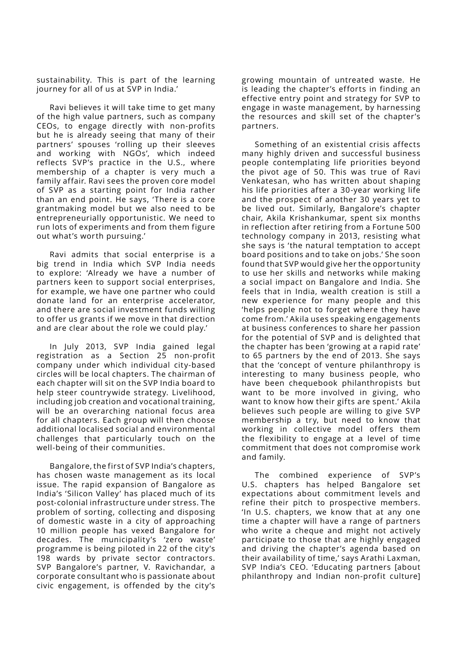sustainability. This is part of the learning journey for all of us at SVP in India.'

Ravi believes it will take time to get many of the high value partners, such as company CEOs, to engage directly with non-profits but he is already seeing that many of their partners' spouses 'rolling up their sleeves and working with NGOs', which indeed reflects SVP's practice in the U.S., where membership of a chapter is very much a family affair. Ravi sees the proven core model of SVP as a starting point for India rather than an end point. He says, 'There is a core grantmaking model but we also need to be entrepreneurially opportunistic. We need to run lots of experiments and from them figure out what's worth pursuing.'

Ravi admits that social enterprise is a big trend in India which SVP India needs to explore: 'Already we have a number of partners keen to support social enterprises, for example, we have one partner who could donate land for an enterprise accelerator, and there are social investment funds willing to offer us grants if we move in that direction and are clear about the role we could play.'

In July 2013, SVP India gained legal registration as a Section 25 non-profit company under which individual city-based circles will be local chapters. The chairman of each chapter will sit on the SVP India board to help steer countrywide strategy. Livelihood, including job creation and vocational training, will be an overarching national focus area for all chapters. Each group will then choose additional localised social and environmental challenges that particularly touch on the well-being of their communities.

Bangalore, the first of SVP India's chapters, has chosen waste management as its local issue. The rapid expansion of Bangalore as India's 'Silicon Valley' has placed much of its post-colonial infrastructure under stress. The problem of sorting, collecting and disposing of domestic waste in a city of approaching 10 million people has vexed Bangalore for decades. The municipality's 'zero waste' programme is being piloted in 22 of the city's 198 wards by private sector contractors. SVP Bangalore's partner, V. Ravichandar, a corporate consultant who is passionate about civic engagement, is offended by the city's

growing mountain of untreated waste. He is leading the chapter's efforts in finding an effective entry point and strategy for SVP to engage in waste management, by harnessing the resources and skill set of the chapter's partners.

Something of an existential crisis affects many highly driven and successful business people contemplating life priorities beyond the pivot age of 50. This was true of Ravi Venkatesan, who has written about shaping his life priorities after a 30-year working life and the prospect of another 30 years yet to be lived out. Similarly, Bangalore's chapter chair, Akila Krishankumar, spent six months in reflection after retiring from a Fortune 500 technology company in 2013, resisting what she says is 'the natural temptation to accept board positions and to take on jobs.' She soon found that SVP would give her the opportunity to use her skills and networks while making a social impact on Bangalore and India. She feels that in India, wealth creation is still a new experience for many people and this 'helps people not to forget where they have come from.' Akila uses speaking engagements at business conferences to share her passion for the potential of SVP and is delighted that the chapter has been 'growing at a rapid rate' to 65 partners by the end of 2013. She says that the 'concept of venture philanthropy is interesting to many business people, who have been chequebook philanthropists but want to be more involved in giving, who want to know how their gifts are spent.' Akila believes such people are willing to give SVP membership a try, but need to know that working in collective model offers them the flexibility to engage at a level of time commitment that does not compromise work and family.

The combined experience of SVP's U.S. chapters has helped Bangalore set expectations about commitment levels and refine their pitch to prospective members. 'In U.S. chapters, we know that at any one time a chapter will have a range of partners who write a cheque and might not actively participate to those that are highly engaged and driving the chapter's agenda based on their availability of time,' says Arathi Laxman, SVP India's CEO. 'Educating partners [about philanthropy and Indian non-profit culture]